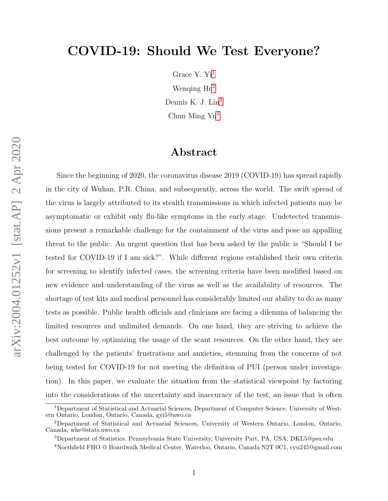# COVID-19: Should We Test Everyone?

Grace Y. Yi<sup>[1](#page-0-0)</sup> Wenqing  $He<sup>2</sup>$  $He<sup>2</sup>$  $He<sup>2</sup>$ Dennis K. J. Lin<sup>[3](#page-0-2)</sup> Chun Ming Yu[4](#page-0-3)

### Abstract

arXiv:2004.01252v1 [stat.AP] 2 Apr 2020 arXiv:2004.01252v1 [stat.AP] 2 Apr 2020

Since the beginning of 2020, the coronavirus disease 2019 (COVID-19) has spread rapidly in the city of Wuhan, P.R. China, and subsequently, across the world. The swift spread of the virus is largely attributed to its stealth transmissions in which infected patients may be asymptomatic or exhibit only flu-like symptoms in the early stage. Undetected transmissions present a remarkable challenge for the containment of the virus and pose an appalling threat to the public. An urgent question that has been asked by the public is "Should I be tested for COVID-19 if I am sick?". While different regions established their own criteria for screening to identify infected cases, the screening criteria have been modified based on new evidence and understanding of the virus as well as the availability of resources. The shortage of test kits and medical personnel has considerably limited our ability to do as many tests as possible. Public health officials and clinicians are facing a dilemma of balancing the limited resources and unlimited demands. On one hand, they are striving to achieve the best outcome by optimizing the usage of the scant resources. On the other hand, they are challenged by the patients' frustrations and anxieties, stemming from the concerns of not being tested for COVID-19 for not meeting the definition of PUI (person under investigation). In this paper, we evaluate the situation from the statistical viewpoint by factoring into the considerations of the uncertainty and inaccuracy of the test, an issue that is often

<span id="page-0-0"></span><sup>1</sup>Department of Statistical and Actuarial Sciences, Department of Computer Science, University of Western Ontario, London, Ontario, Canada, gyi5@uwo.ca

<span id="page-0-1"></span><sup>2</sup>Department of Statistical and Actuarial Sciences, University of Western Ontario, London, Ontario, Canada, whe@stats.uwo.ca

<span id="page-0-3"></span><span id="page-0-2"></span><sup>3</sup>Department of Statistics, Pennsylvania State University, University Part, PA, USA, DKL5@psu.edu

<sup>4</sup>Northfield FHO @ Boardwalk Medical Center, Waterloo, Ontario, Canada N2T 0C1, cyu245@gmail.com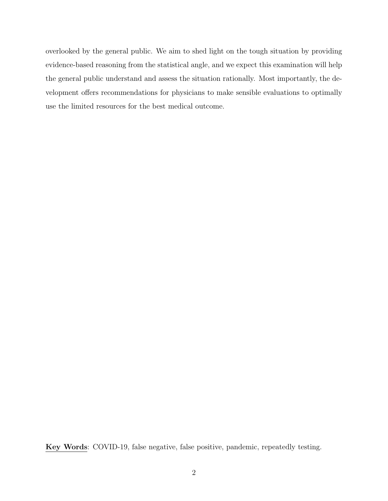overlooked by the general public. We aim to shed light on the tough situation by providing evidence-based reasoning from the statistical angle, and we expect this examination will help the general public understand and assess the situation rationally. Most importantly, the development offers recommendations for physicians to make sensible evaluations to optimally use the limited resources for the best medical outcome.

Key Words: COVID-19, false negative, false positive, pandemic, repeatedly testing.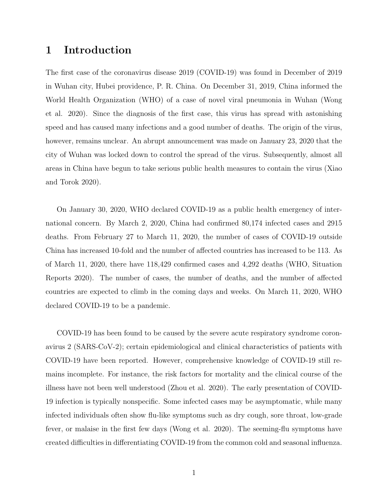### 1 Introduction

The first case of the coronavirus disease 2019 (COVID-19) was found in December of 2019 in Wuhan city, Hubei providence, P. R. China. On December 31, 2019, China informed the World Health Organization (WHO) of a case of novel viral pneumonia in Wuhan (Wong et al. 2020). Since the diagnosis of the first case, this virus has spread with astonishing speed and has caused many infections and a good number of deaths. The origin of the virus, however, remains unclear. An abrupt announcement was made on January 23, 2020 that the city of Wuhan was locked down to control the spread of the virus. Subsequently, almost all areas in China have begun to take serious public health measures to contain the virus (Xiao and Torok 2020).

On January 30, 2020, WHO declared COVID-19 as a public health emergency of international concern. By March 2, 2020, China had confirmed 80,174 infected cases and 2915 deaths. From February 27 to March 11, 2020, the number of cases of COVID-19 outside China has increased 10-fold and the number of affected countries has increased to be 113. As of March 11, 2020, there have 118,429 confirmed cases and 4,292 deaths (WHO, Situation Reports 2020). The number of cases, the number of deaths, and the number of affected countries are expected to climb in the coming days and weeks. On March 11, 2020, WHO declared COVID-19 to be a pandemic.

COVID-19 has been found to be caused by the severe acute respiratory syndrome coronavirus 2 (SARS-CoV-2); certain epidemiological and clinical characteristics of patients with COVID-19 have been reported. However, comprehensive knowledge of COVID-19 still remains incomplete. For instance, the risk factors for mortality and the clinical course of the illness have not been well understood (Zhou et al. 2020). The early presentation of COVID-19 infection is typically nonspecific. Some infected cases may be asymptomatic, while many infected individuals often show flu-like symptoms such as dry cough, sore throat, low-grade fever, or malaise in the first few days (Wong et al. 2020). The seeming-flu symptoms have created difficulties in differentiating COVID-19 from the common cold and seasonal influenza.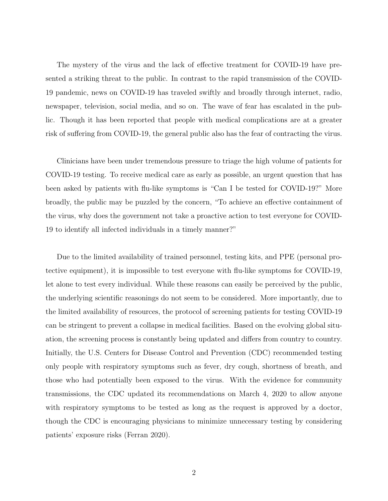The mystery of the virus and the lack of effective treatment for COVID-19 have presented a striking threat to the public. In contrast to the rapid transmission of the COVID-19 pandemic, news on COVID-19 has traveled swiftly and broadly through internet, radio, newspaper, television, social media, and so on. The wave of fear has escalated in the public. Though it has been reported that people with medical complications are at a greater risk of suffering from COVID-19, the general public also has the fear of contracting the virus.

Clinicians have been under tremendous pressure to triage the high volume of patients for COVID-19 testing. To receive medical care as early as possible, an urgent question that has been asked by patients with flu-like symptoms is "Can I be tested for COVID-19?" More broadly, the public may be puzzled by the concern, "To achieve an effective containment of the virus, why does the government not take a proactive action to test everyone for COVID-19 to identify all infected individuals in a timely manner?"

Due to the limited availability of trained personnel, testing kits, and PPE (personal protective equipment), it is impossible to test everyone with flu-like symptoms for COVID-19, let alone to test every individual. While these reasons can easily be perceived by the public, the underlying scientific reasonings do not seem to be considered. More importantly, due to the limited availability of resources, the protocol of screening patients for testing COVID-19 can be stringent to prevent a collapse in medical facilities. Based on the evolving global situation, the screening process is constantly being updated and differs from country to country. Initially, the U.S. Centers for Disease Control and Prevention (CDC) recommended testing only people with respiratory symptoms such as fever, dry cough, shortness of breath, and those who had potentially been exposed to the virus. With the evidence for community transmissions, the CDC updated its recommendations on March 4, 2020 to allow anyone with respiratory symptoms to be tested as long as the request is approved by a doctor, though the CDC is encouraging physicians to minimize unnecessary testing by considering patients' exposure risks (Ferran 2020).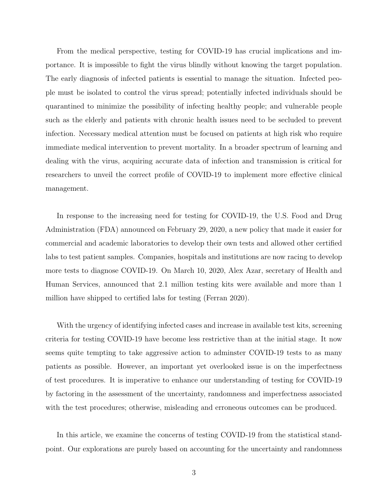From the medical perspective, testing for COVID-19 has crucial implications and importance. It is impossible to fight the virus blindly without knowing the target population. The early diagnosis of infected patients is essential to manage the situation. Infected people must be isolated to control the virus spread; potentially infected individuals should be quarantined to minimize the possibility of infecting healthy people; and vulnerable people such as the elderly and patients with chronic health issues need to be secluded to prevent infection. Necessary medical attention must be focused on patients at high risk who require immediate medical intervention to prevent mortality. In a broader spectrum of learning and dealing with the virus, acquiring accurate data of infection and transmission is critical for researchers to unveil the correct profile of COVID-19 to implement more effective clinical management.

In response to the increasing need for testing for COVID-19, the U.S. Food and Drug Administration (FDA) announced on February 29, 2020, a new policy that made it easier for commercial and academic laboratories to develop their own tests and allowed other certified labs to test patient samples. Companies, hospitals and institutions are now racing to develop more tests to diagnose COVID-19. On March 10, 2020, Alex Azar, secretary of Health and Human Services, announced that 2.1 million testing kits were available and more than 1 million have shipped to certified labs for testing (Ferran 2020).

With the urgency of identifying infected cases and increase in available test kits, screening criteria for testing COVID-19 have become less restrictive than at the initial stage. It now seems quite tempting to take aggressive action to adminster COVID-19 tests to as many patients as possible. However, an important yet overlooked issue is on the imperfectness of test procedures. It is imperative to enhance our understanding of testing for COVID-19 by factoring in the assessment of the uncertainty, randomness and imperfectness associated with the test procedures; otherwise, misleading and erroneous outcomes can be produced.

In this article, we examine the concerns of testing COVID-19 from the statistical standpoint. Our explorations are purely based on accounting for the uncertainty and randomness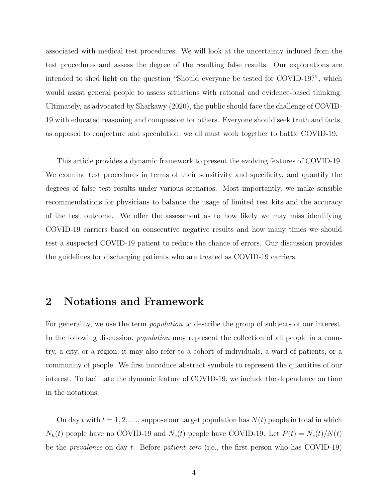associated with medical test procedures. We will look at the uncertainty induced from the test procedures and assess the degree of the resulting false results. Our explorations are intended to shed light on the question "Should everyone be tested for COVID-19?", which would assist general people to assess situations with rational and evidence-based thinking. Ultimately, as advocated by Sharkawy (2020), the public should face the challenge of COVID-19 with educated reasoning and compassion for others. Everyone should seek truth and facts, as opposed to conjecture and speculation; we all must work together to battle COVID-19.

This article provides a dynamic framework to present the evolving features of COVID-19. We examine test procedures in terms of their sensitivity and specificity, and quantify the degrees of false test results under various scenarios. Most importantly, we make sensible recommendations for physicians to balance the usage of limited test kits and the accuracy of the test outcome. We offer the assessment as to how likely we may miss identifying COVID-19 carriers based on consecutive negative results and how many times we should test a suspected COVID-19 patient to reduce the chance of errors. Our discussion provides the guidelines for discharging patients who are treated as COVID-19 carriers.

### <span id="page-5-0"></span>2 Notations and Framework

For generality, we use the term *population* to describe the group of subjects of our interest. In the following discussion, *population* may represent the collection of all people in a country, a city, or a region; it may also refer to a cohort of individuals, a ward of patients, or a community of people. We first introduce abstract symbols to represent the quantities of our interest. To facilitate the dynamic feature of COVID-19, we include the dependence on time in the notations.

On day t with  $t = 1, 2, \ldots$ , suppose our target population has  $N(t)$  people in total in which  $N_h(t)$  people have no COVID-19 and  $N_s(t)$  people have COVID-19. Let  $P(t) = N_s(t)/N(t)$ be the *prevalence* on day t. Before *patient zero* (i.e., the first person who has COVID-19)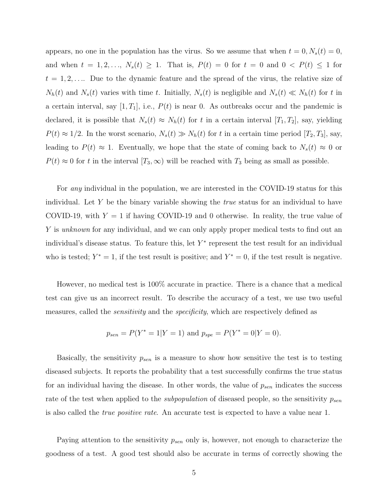appears, no one in the population has the virus. So we assume that when  $t = 0, N_s(t) = 0$ , and when  $t = 1, 2, ..., N_s(t) \ge 1$ . That is,  $P(t) = 0$  for  $t = 0$  and  $0 < P(t) \le 1$  for  $t = 1, 2, \ldots$  Due to the dynamic feature and the spread of the virus, the relative size of  $N_h(t)$  and  $N_s(t)$  varies with time t. Initially,  $N_s(t)$  is negligible and  $N_s(t) \ll N_h(t)$  for t in a certain interval, say  $[1, T_1]$ , i.e.,  $P(t)$  is near 0. As outbreaks occur and the pandemic is declared, it is possible that  $N_s(t) \approx N_h(t)$  for t in a certain interval  $[T_1, T_2]$ , say, yielding  $P(t) \approx 1/2$ . In the worst scenario,  $N_s(t) \gg N_h(t)$  for t in a certain time period  $[T_2, T_3]$ , say, leading to  $P(t) \approx 1$ . Eventually, we hope that the state of coming back to  $N_s(t) \approx 0$  or  $P(t) \approx 0$  for t in the interval  $[T_3,\infty)$  will be reached with  $T_3$  being as small as possible.

For any individual in the population, we are interested in the COVID-19 status for this individual. Let Y be the binary variable showing the *true* status for an individual to have COVID-19, with  $Y = 1$  if having COVID-19 and 0 otherwise. In reality, the true value of Y is unknown for any individual, and we can only apply proper medical tests to find out an individual's disease status. To feature this, let  $Y^*$  represent the test result for an individual who is tested;  $Y^* = 1$ , if the test result is positive; and  $Y^* = 0$ , if the test result is negative.

However, no medical test is 100% accurate in practice. There is a chance that a medical test can give us an incorrect result. To describe the accuracy of a test, we use two useful measures, called the *sensitivity* and the *specificity*, which are respectively defined as

$$
p_{sen} = P(Y^* = 1|Y = 1)
$$
 and  $p_{spe} = P(Y^* = 0|Y = 0)$ .

Basically, the sensitivity  $p_{sen}$  is a measure to show how sensitive the test is to testing diseased subjects. It reports the probability that a test successfully confirms the true status for an individual having the disease. In other words, the value of  $p_{sen}$  indicates the success rate of the test when applied to the *subpopulation* of diseased people, so the sensitivity  $p_{sen}$ is also called the true positive rate. An accurate test is expected to have a value near 1.

Paying attention to the sensitivity  $p_{sen}$  only is, however, not enough to characterize the goodness of a test. A good test should also be accurate in terms of correctly showing the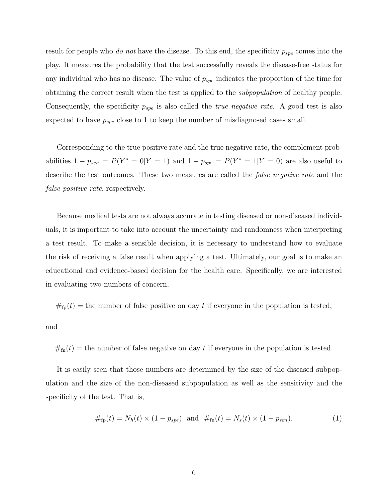result for people who do not have the disease. To this end, the specificity  $p_{spe}$  comes into the play. It measures the probability that the test successfully reveals the disease-free status for any individual who has no disease. The value of  $p_{spe}$  indicates the proportion of the time for obtaining the correct result when the test is applied to the subpopulation of healthy people. Consequently, the specificity  $p_{spe}$  is also called the *true negative rate*. A good test is also expected to have  $p_{spe}$  close to 1 to keep the number of misdiagnosed cases small.

Corresponding to the true positive rate and the true negative rate, the complement probabilities  $1 - p_{sen} = P(Y^* = 0 | Y = 1)$  and  $1 - p_{spe} = P(Y^* = 1 | Y = 0)$  are also useful to describe the test outcomes. These two measures are called the *false negative rate* and the false *positive rate*, respectively.

Because medical tests are not always accurate in testing diseased or non-diseased individuals, it is important to take into account the uncertainty and randomness when interpreting a test result. To make a sensible decision, it is necessary to understand how to evaluate the risk of receiving a false result when applying a test. Ultimately, our goal is to make an educational and evidence-based decision for the health care. Specifically, we are interested in evaluating two numbers of concern,

 $#_{fp}(t)$  = the number of false positive on day t if everyone in the population is tested,

and

 $#<sub>fn</sub>(t)$  = the number of false negative on day t if everyone in the population is tested.

It is easily seen that those numbers are determined by the size of the diseased subpopulation and the size of the non-diseased subpopulation as well as the sensitivity and the specificity of the test. That is,

<span id="page-7-0"></span>
$$
\#_{\text{fp}}(t) = N_h(t) \times (1 - p_{spe}) \text{ and } \#_{\text{fn}}(t) = N_s(t) \times (1 - p_{sen}). \tag{1}
$$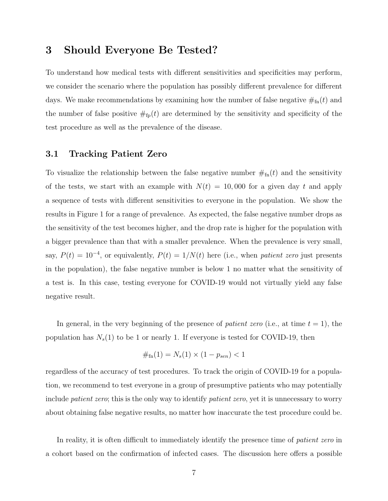### 3 Should Everyone Be Tested?

To understand how medical tests with different sensitivities and specificities may perform, we consider the scenario where the population has possibly different prevalence for different days. We make recommendations by examining how the number of false negative  $\#_{fn}(t)$  and the number of false positive  $\#_{fp}(t)$  are determined by the sensitivity and specificity of the test procedure as well as the prevalence of the disease.

#### 3.1 Tracking Patient Zero

To visualize the relationship between the false negative number  $\#_{fn}(t)$  and the sensitivity of the tests, we start with an example with  $N(t) = 10,000$  for a given day t and apply a sequence of tests with different sensitivities to everyone in the population. We show the results in Figure 1 for a range of prevalence. As expected, the false negative number drops as the sensitivity of the test becomes higher, and the drop rate is higher for the population with a bigger prevalence than that with a smaller prevalence. When the prevalence is very small, say,  $P(t) = 10^{-4}$ , or equivalently,  $P(t) = 1/N(t)$  here (i.e., when *patient zero* just presents in the population), the false negative number is below 1 no matter what the sensitivity of a test is. In this case, testing everyone for COVID-19 would not virtually yield any false negative result.

In general, in the very beginning of the presence of *patient zero* (i.e., at time  $t = 1$ ), the population has  $N_s(1)$  to be 1 or nearly 1. If everyone is tested for COVID-19, then

$$
\#_{\text{fn}}(1) = N_s(1) \times (1 - p_{sen}) < 1
$$

regardless of the accuracy of test procedures. To track the origin of COVID-19 for a population, we recommend to test everyone in a group of presumptive patients who may potentially include *patient zero*; this is the only way to identify *patient zero*, yet it is unnecessary to worry about obtaining false negative results, no matter how inaccurate the test procedure could be.

In reality, it is often difficult to immediately identify the presence time of *patient zero* in a cohort based on the confirmation of infected cases. The discussion here offers a possible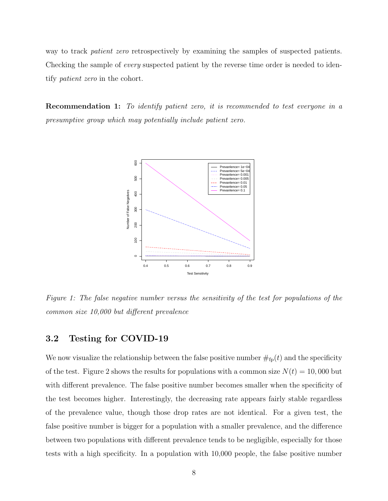way to track patient zero retrospectively by examining the samples of suspected patients. Checking the sample of every suspected patient by the reverse time order is needed to identify patient zero in the cohort.

**Recommendation 1:** To identify patient zero, it is recommended to test everyone in a presumptive group which may potentially include patient zero.



Figure 1: The false negative number versus the sensitivity of the test for populations of the common size 10,000 but different prevalence

### 3.2 Testing for COVID-19

We now visualize the relationship between the false positive number  $\#_{fp}(t)$  and the specificity of the test. Figure 2 shows the results for populations with a common size  $N(t) = 10,000$  but with different prevalence. The false positive number becomes smaller when the specificity of the test becomes higher. Interestingly, the decreasing rate appears fairly stable regardless of the prevalence value, though those drop rates are not identical. For a given test, the false positive number is bigger for a population with a smaller prevalence, and the difference between two populations with different prevalence tends to be negligible, especially for those tests with a high specificity. In a population with 10,000 people, the false positive number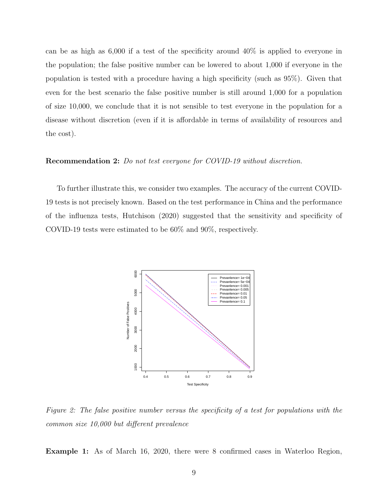can be as high as 6,000 if a test of the specificity around 40% is applied to everyone in the population; the false positive number can be lowered to about 1,000 if everyone in the population is tested with a procedure having a high specificity (such as 95%). Given that even for the best scenario the false positive number is still around 1,000 for a population of size 10,000, we conclude that it is not sensible to test everyone in the population for a disease without discretion (even if it is affordable in terms of availability of resources and the cost).

#### Recommendation 2: Do not test everyone for COVID-19 without discretion.

To further illustrate this, we consider two examples. The accuracy of the current COVID-19 tests is not precisely known. Based on the test performance in China and the performance of the influenza tests, Hutchison (2020) suggested that the sensitivity and specificity of COVID-19 tests were estimated to be 60% and 90%, respectively.



Figure 2: The false positive number versus the specificity of a test for populations with the common size 10,000 but different prevalence

Example 1: As of March 16, 2020, there were 8 confirmed cases in Waterloo Region,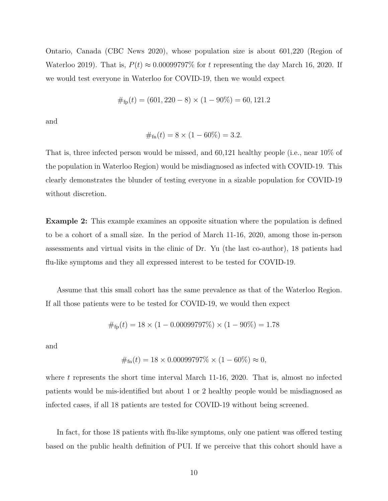Ontario, Canada (CBC News 2020), whose population size is about 601,220 (Region of Waterloo 2019). That is,  $P(t) \approx 0.00099797\%$  for t representing the day March 16, 2020. If we would test everyone in Waterloo for COVID-19, then we would expect

$$
\#_{\text{fp}}(t) = (601, 220 - 8) \times (1 - 90\%) = 60, 121.2
$$

and

$$
\#_{\text{fn}}(t) = 8 \times (1 - 60\%) = 3.2.
$$

That is, three infected person would be missed, and 60,121 healthy people (i.e., near 10% of the population in Waterloo Region) would be misdiagnosed as infected with COVID-19. This clearly demonstrates the blunder of testing everyone in a sizable population for COVID-19 without discretion.

Example 2: This example examines an opposite situation where the population is defined to be a cohort of a small size. In the period of March 11-16, 2020, among those in-person assessments and virtual visits in the clinic of Dr. Yu (the last co-author), 18 patients had flu-like symptoms and they all expressed interest to be tested for COVID-19.

Assume that this small cohort has the same prevalence as that of the Waterloo Region. If all those patients were to be tested for COVID-19, we would then expect

$$
\#_{\text{fp}}(t) = 18 \times (1 - 0.00099797\%) \times (1 - 90\%) = 1.78
$$

and

$$
\#_{\text{fn}}(t) = 18 \times 0.00099797\% \times (1 - 60\%) \approx 0,
$$

where  $t$  represents the short time interval March 11-16, 2020. That is, almost no infected patients would be mis-identified but about 1 or 2 healthy people would be misdiagnosed as infected cases, if all 18 patients are tested for COVID-19 without being screened.

In fact, for those 18 patients with flu-like symptoms, only one patient was offered testing based on the public health definition of PUI. If we perceive that this cohort should have a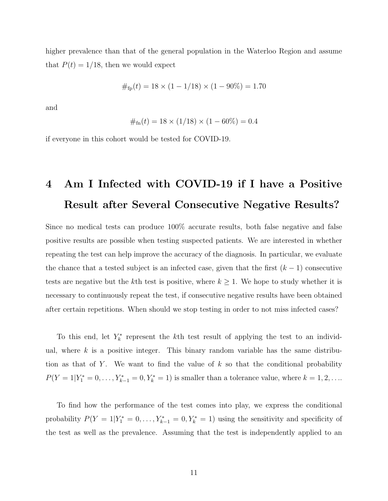higher prevalence than that of the general population in the Waterloo Region and assume that  $P(t) = 1/18$ , then we would expect

#fp(t) = 18 × (1 − 1/18) × (1 − 90%) = 1.70

and

#fn(t) = 18 × (1/18) × (1 − 60%) = 0.4

if everyone in this cohort would be tested for COVID-19.

# 4 Am I Infected with COVID-19 if I have a Positive Result after Several Consecutive Negative Results?

Since no medical tests can produce 100% accurate results, both false negative and false positive results are possible when testing suspected patients. We are interested in whether repeating the test can help improve the accuracy of the diagnosis. In particular, we evaluate the chance that a tested subject is an infected case, given that the first  $(k-1)$  consecutive tests are negative but the kth test is positive, where  $k \geq 1$ . We hope to study whether it is necessary to continuously repeat the test, if consecutive negative results have been obtained after certain repetitions. When should we stop testing in order to not miss infected cases?

To this end, let  $Y_k^*$  represent the k<sup>th</sup> test result of applying the test to an individual, where  $k$  is a positive integer. This binary random variable has the same distribution as that of Y. We want to find the value of  $k$  so that the conditional probability  $P(Y = 1 | Y_1^* = 0, ..., Y_{k-1}^* = 0, Y_k^* = 1)$  is smaller than a tolerance value, where  $k = 1, 2, ...$ 

To find how the performance of the test comes into play, we express the conditional probability  $P(Y = 1 | Y_1^* = 0, ..., Y_{k-1}^* = 0, Y_k^* = 1)$  using the sensitivity and specificity of the test as well as the prevalence. Assuming that the test is independently applied to an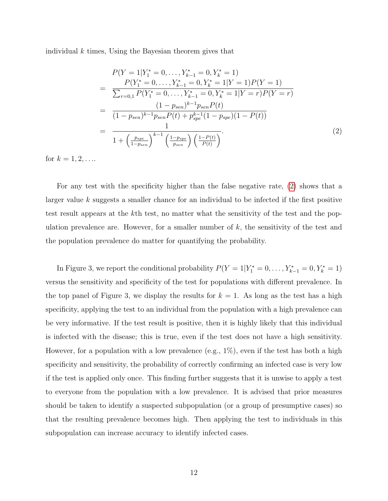individual  $k$  times, Using the Bayesian theorem gives that

<span id="page-13-0"></span>
$$
P(Y = 1|Y_1^* = 0, \dots, Y_{k-1}^* = 0, Y_k^* = 1)
$$
\n
$$
= \frac{P(Y_1^* = 0, \dots, Y_{k-1}^* = 0, Y_k^* = 1|Y = 1)P(Y = 1)}{\sum_{r=0,1} P(Y_1^* = 0, \dots, Y_{k-1}^* = 0, Y_k^* = 1|Y = r)P(Y = r)}
$$
\n
$$
= \frac{(1 - p_{sen})^{k-1} p_{sen} P(t)}{(1 - p_{sen})^{k-1} p_{sen} P(t) + p_{spe}^{k-1} (1 - p_{spe})(1 - P(t))}
$$
\n
$$
= \frac{1}{1 + \left(\frac{p_{spe}}{1 - p_{sen}}\right)^{k-1} \left(\frac{1 - p_{spe}}{p_{sen}}\right) \left(\frac{1 - P(t)}{P(t)}\right)}.
$$
\n(2)

for  $k = 1, 2, ...$ 

For any test with the specificity higher than the false negative rate, [\(2\)](#page-13-0) shows that a larger value  $k$  suggests a smaller chance for an individual to be infected if the first positive test result appears at the kth test, no matter what the sensitivity of the test and the population prevalence are. However, for a smaller number of  $k$ , the sensitivity of the test and the population prevalence do matter for quantifying the probability.

In Figure 3, we report the conditional probability  $P(Y = 1|Y_1^* = 0, \ldots, Y_{k-1}^* = 0, Y_k^* = 1)$ versus the sensitivity and specificity of the test for populations with different prevalence. In the top panel of Figure 3, we display the results for  $k = 1$ . As long as the test has a high specificity, applying the test to an individual from the population with a high prevalence can be very informative. If the test result is positive, then it is highly likely that this individual is infected with the disease; this is true, even if the test does not have a high sensitivity. However, for a population with a low prevalence (e.g.,  $1\%$ ), even if the test has both a high specificity and sensitivity, the probability of correctly confirming an infected case is very low if the test is applied only once. This finding further suggests that it is unwise to apply a test to everyone from the population with a low prevalence. It is advised that prior measures should be taken to identify a suspected subpopulation (or a group of presumptive cases) so that the resulting prevalence becomes high. Then applying the test to individuals in this subpopulation can increase accuracy to identify infected cases.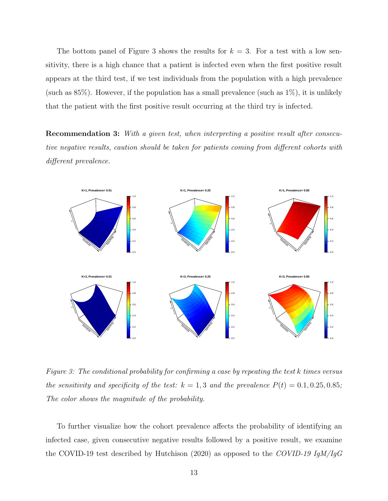The bottom panel of Figure 3 shows the results for  $k = 3$ . For a test with a low sensitivity, there is a high chance that a patient is infected even when the first positive result appears at the third test, if we test individuals from the population with a high prevalence (such as  $85\%$ ). However, if the population has a small prevalence (such as  $1\%$ ), it is unlikely that the patient with the first positive result occurring at the third try is infected.

**Recommendation 3:** With a given test, when interpreting a positive result after consecutive negative results, caution should be taken for patients coming from different cohorts with different prevalence.



Figure 3: The conditional probability for confirming a case by repeating the test k times versus the sensitivity and specificity of the test:  $k = 1, 3$  and the prevalence  $P(t) = 0.1, 0.25, 0.85;$ The color shows the magnitude of the probability.

To further visualize how the cohort prevalence affects the probability of identifying an infected case, given consecutive negative results followed by a positive result, we examine the COVID-19 test described by Hutchison (2020) as opposed to the COVID-19 IgM/IgG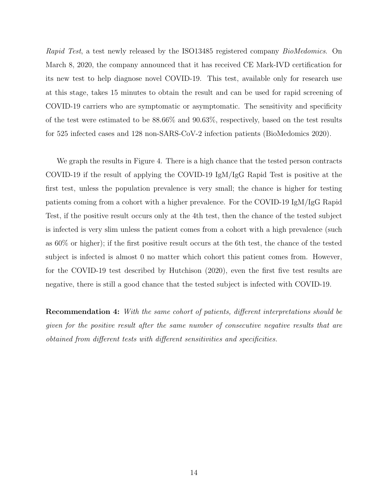Rapid Test, a test newly released by the ISO13485 registered company BioMedomics. On March 8, 2020, the company announced that it has received CE Mark-IVD certification for its new test to help diagnose novel COVID-19. This test, available only for research use at this stage, takes 15 minutes to obtain the result and can be used for rapid screening of COVID-19 carriers who are symptomatic or asymptomatic. The sensitivity and specificity of the test were estimated to be 88.66% and 90.63%, respectively, based on the test results for 525 infected cases and 128 non-SARS-CoV-2 infection patients (BioMedomics 2020).

We graph the results in Figure 4. There is a high chance that the tested person contracts COVID-19 if the result of applying the COVID-19 IgM/IgG Rapid Test is positive at the first test, unless the population prevalence is very small; the chance is higher for testing patients coming from a cohort with a higher prevalence. For the COVID-19 IgM/IgG Rapid Test, if the positive result occurs only at the 4th test, then the chance of the tested subject is infected is very slim unless the patient comes from a cohort with a high prevalence (such as 60% or higher); if the first positive result occurs at the 6th test, the chance of the tested subject is infected is almost 0 no matter which cohort this patient comes from. However, for the COVID-19 test described by Hutchison (2020), even the first five test results are negative, there is still a good chance that the tested subject is infected with COVID-19.

Recommendation 4: With the same cohort of patients, different interpretations should be given for the positive result after the same number of consecutive negative results that are obtained from different tests with different sensitivities and specificities.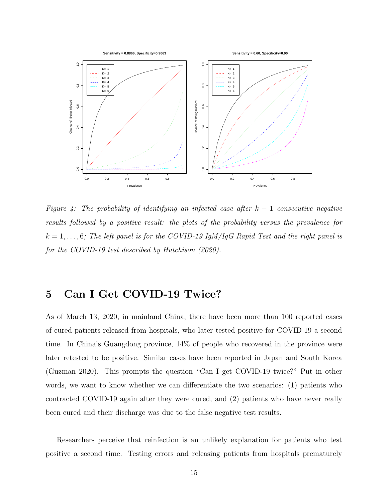

Figure 4: The probability of identifying an infected case after  $k-1$  consecutive negative results followed by a positive result: the plots of the probability versus the prevalence for  $k = 1, \ldots, 6$ ; The left panel is for the COVID-19 IgM/IgG Rapid Test and the right panel is for the COVID-19 test described by Hutchison (2020).

# 5 Can I Get COVID-19 Twice?

As of March 13, 2020, in mainland China, there have been more than 100 reported cases of cured patients released from hospitals, who later tested positive for COVID-19 a second time. In China's Guangdong province, 14% of people who recovered in the province were later retested to be positive. Similar cases have been reported in Japan and South Korea (Guzman 2020). This prompts the question "Can I get COVID-19 twice?" Put in other words, we want to know whether we can differentiate the two scenarios: (1) patients who contracted COVID-19 again after they were cured, and (2) patients who have never really been cured and their discharge was due to the false negative test results.

Researchers perceive that reinfection is an unlikely explanation for patients who test positive a second time. Testing errors and releasing patients from hospitals prematurely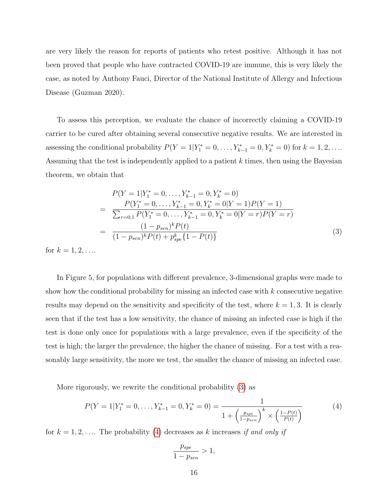are very likely the reason for reports of patients who retest positive. Although it has not been proved that people who have contracted COVID-19 are immune, this is very likely the case, as noted by Anthony Fauci, Director of the National Institute of Allergy and Infectious Disease (Guzman 2020).

To assess this perception, we evaluate the chance of incorrectly claiming a COVID-19 carrier to be cured after obtaining several consecutive negative results. We are interested in assessing the conditional probability  $P(Y = 1 | Y_1^* = 0, ..., Y_{k-1}^* = 0, Y_k^* = 0)$  for  $k = 1, 2, ...$ Assuming that the test is independently applied to a patient  $k$  times, then using the Bayesian theorem, we obtain that

<span id="page-17-0"></span>
$$
P(Y = 1|Y_1^* = 0, ..., Y_{k-1}^* = 0, Y_k^* = 0)
$$
  
= 
$$
\frac{P(Y_1^* = 0, ..., Y_{k-1}^* = 0, Y_k^* = 0|Y = 1)P(Y = 1)}{\sum_{r=0,1} P(Y_1^* = 0, ..., Y_{k-1}^* = 0, Y_k^* = 0|Y = r)P(Y = r)}
$$
  
= 
$$
\frac{(1 - p_{sen})^k P(t)}{(1 - p_{sen})^k P(t) + p_{spe}^k \{1 - P(t)\}}
$$
(3)

for  $k = 1, 2, ...$ 

In Figure 5, for populations with different prevalence, 3-dimensional graphs were made to show how the conditional probability for missing an infected case with  $k$  consecutive negative results may depend on the sensitivity and specificity of the test, where  $k = 1, 3$ . It is clearly seen that if the test has a low sensitivity, the chance of missing an infected case is high if the test is done only once for populations with a large prevalence, even if the specificity of the test is high; the larger the prevalence, the higher the chance of missing. For a test with a reasonably large sensitivity, the more we test, the smaller the chance of missing an infected case.

More rigorously, we rewrite the conditional probability [\(3\)](#page-17-0) as

<span id="page-17-1"></span>
$$
P(Y = 1|Y_1^* = 0, ..., Y_{k-1}^* = 0, Y_k^* = 0) = \frac{1}{1 + \left(\frac{p_{spe}}{1 - p_{sen}}\right)^k \times \left(\frac{1 - P(t)}{P(t)}\right)}
$$
(4)

for  $k = 1, 2, \ldots$  The probability [\(4\)](#page-17-1) decreases as k increases if and only if

$$
\frac{p_{spe}}{1-p_{sen}} > 1,
$$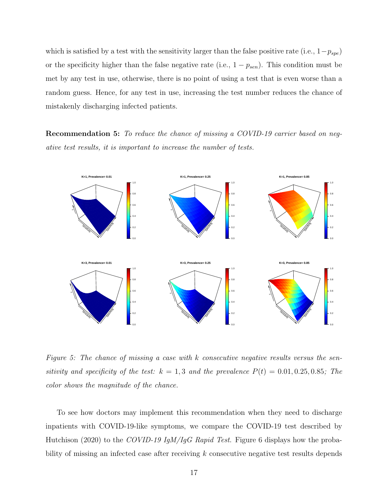which is satisfied by a test with the sensitivity larger than the false positive rate (i.e.,  $1-p_{spe}$ ) or the specificity higher than the false negative rate (i.e.,  $1 - p_{sen}$ ). This condition must be met by any test in use, otherwise, there is no point of using a test that is even worse than a random guess. Hence, for any test in use, increasing the test number reduces the chance of mistakenly discharging infected patients.

Recommendation 5: To reduce the chance of missing a COVID-19 carrier based on negative test results, it is important to increase the number of tests.



Figure 5: The chance of missing a case with k consecutive negative results versus the sensitivity and specificity of the test:  $k = 1, 3$  and the prevalence  $P(t) = 0.01, 0.25, 0.85$ ; The color shows the magnitude of the chance.

To see how doctors may implement this recommendation when they need to discharge inpatients with COVID-19-like symptoms, we compare the COVID-19 test described by Hutchison (2020) to the COVID-19 IgM/IgG Rapid Test. Figure 6 displays how the probability of missing an infected case after receiving k consecutive negative test results depends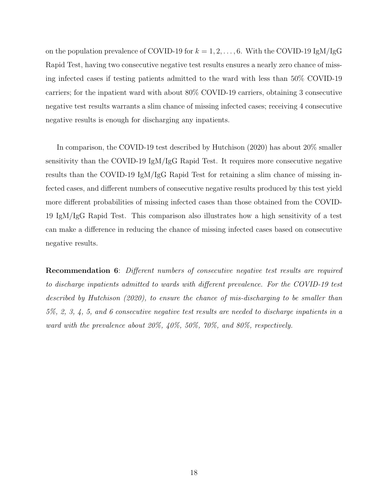on the population prevalence of COVID-19 for  $k = 1, 2, ..., 6$ . With the COVID-19 IgM/IgG Rapid Test, having two consecutive negative test results ensures a nearly zero chance of missing infected cases if testing patients admitted to the ward with less than 50% COVID-19 carriers; for the inpatient ward with about 80% COVID-19 carriers, obtaining 3 consecutive negative test results warrants a slim chance of missing infected cases; receiving 4 consecutive negative results is enough for discharging any inpatients.

In comparison, the COVID-19 test described by Hutchison (2020) has about 20% smaller sensitivity than the COVID-19 IgM/IgG Rapid Test. It requires more consecutive negative results than the COVID-19 IgM/IgG Rapid Test for retaining a slim chance of missing infected cases, and different numbers of consecutive negative results produced by this test yield more different probabilities of missing infected cases than those obtained from the COVID-19 IgM/IgG Rapid Test. This comparison also illustrates how a high sensitivity of a test can make a difference in reducing the chance of missing infected cases based on consecutive negative results.

Recommendation 6: Different numbers of consecutive negative test results are required to discharge inpatients admitted to wards with different prevalence. For the COVID-19 test described by Hutchison (2020), to ensure the chance of mis-discharging to be smaller than 5%, 2, 3, 4, 5, and 6 consecutive negative test results are needed to discharge inpatients in a ward with the prevalence about 20%, 40%, 50%, 70%, and 80%, respectively.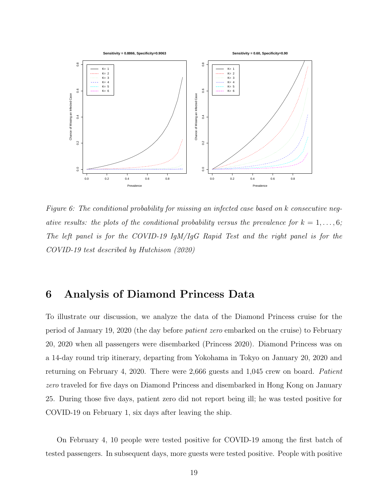

Figure 6: The conditional probability for missing an infected case based on k consecutive negative results: the plots of the conditional probability versus the prevalence for  $k = 1, \ldots, 6;$ The left panel is for the COVID-19 IgM/IgG Rapid Test and the right panel is for the COVID-19 test described by Hutchison (2020)

## <span id="page-20-0"></span>6 Analysis of Diamond Princess Data

To illustrate our discussion, we analyze the data of the Diamond Princess cruise for the period of January 19, 2020 (the day before patient zero embarked on the cruise) to February 20, 2020 when all passengers were disembarked (Princess 2020). Diamond Princess was on a 14-day round trip itinerary, departing from Yokohama in Tokyo on January 20, 2020 and returning on February 4, 2020. There were 2,666 guests and 1,045 crew on board. Patient zero traveled for five days on Diamond Princess and disembarked in Hong Kong on January 25. During those five days, patient zero did not report being ill; he was tested positive for COVID-19 on February 1, six days after leaving the ship.

On February 4, 10 people were tested positive for COVID-19 among the first batch of tested passengers. In subsequent days, more guests were tested positive. People with positive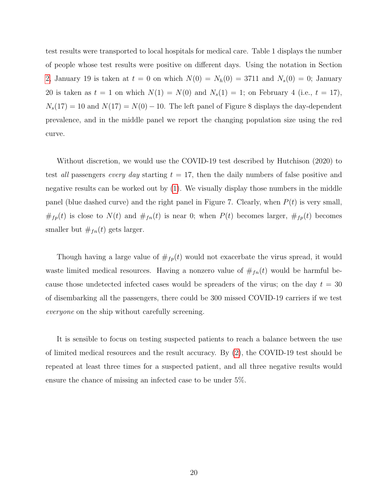test results were transported to local hospitals for medical care. Table 1 displays the number of people whose test results were positive on different days. Using the notation in Section [2,](#page-5-0) January 19 is taken at  $t = 0$  on which  $N(0) = N_h(0) = 3711$  and  $N_s(0) = 0$ ; January 20 is taken as  $t = 1$  on which  $N(1) = N(0)$  and  $N_s(1) = 1$ ; on February 4 (i.e.,  $t = 17$ ),  $N_s(17) = 10$  and  $N(17) = N(0) - 10$ . The left panel of Figure 8 displays the day-dependent prevalence, and in the middle panel we report the changing population size using the red curve.

Without discretion, we would use the COVID-19 test described by Hutchison (2020) to test all passengers every day starting  $t = 17$ , then the daily numbers of false positive and negative results can be worked out by [\(1\)](#page-7-0). We visually display those numbers in the middle panel (blue dashed curve) and the right panel in Figure 7. Clearly, when  $P(t)$  is very small,  $#_{fp}(t)$  is close to  $N(t)$  and  $#_{fn}(t)$  is near 0; when  $P(t)$  becomes larger,  $#_{fp}(t)$  becomes smaller but  $#_{fn}(t)$  gets larger.

Though having a large value of  $\#_{fp}(t)$  would not exacerbate the virus spread, it would waste limited medical resources. Having a nonzero value of  $#<sub>fn</sub>(t)$  would be harmful because those undetected infected cases would be spreaders of the virus; on the day  $t = 30$ of disembarking all the passengers, there could be 300 missed COVID-19 carriers if we test everyone on the ship without carefully screening.

It is sensible to focus on testing suspected patients to reach a balance between the use of limited medical resources and the result accuracy. By [\(2\)](#page-13-0), the COVID-19 test should be repeated at least three times for a suspected patient, and all three negative results would ensure the chance of missing an infected case to be under 5%.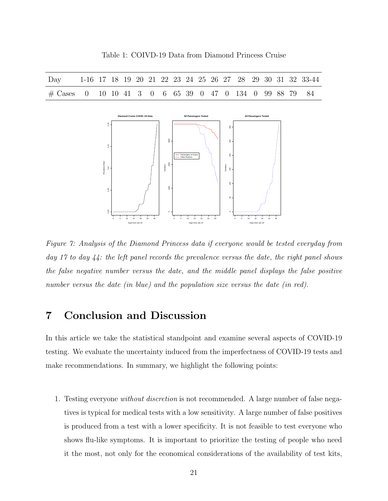Table 1: COIVD-19 Data from Diamond Princess Cruise

| Day                                                  |                                  |  |  |  |  |                    |                              |                                              |  |  |                          |                              |  |  | 1-16 17 18 19 20 21 22 23 24 25 26 27 28 29 30 31 32 33-44 |
|------------------------------------------------------|----------------------------------|--|--|--|--|--------------------|------------------------------|----------------------------------------------|--|--|--------------------------|------------------------------|--|--|------------------------------------------------------------|
| # Cases 0 10 10 41 3 0 6 65 39 0 47 0 134 0 99 88 79 |                                  |  |  |  |  |                    |                              |                                              |  |  |                          |                              |  |  | 84                                                         |
|                                                      |                                  |  |  |  |  |                    |                              |                                              |  |  |                          |                              |  |  |                                                            |
|                                                      | Diamond Cruise COVID-19 Data     |  |  |  |  |                    | <b>All Passengers Tested</b> |                                              |  |  |                          | <b>All Passengers Tested</b> |  |  |                                                            |
|                                                      | $_{\rm 8}$                       |  |  |  |  |                    |                              |                                              |  |  | $\frac{8}{2}$            |                              |  |  |                                                            |
|                                                      |                                  |  |  |  |  |                    |                              |                                              |  |  |                          |                              |  |  |                                                            |
|                                                      |                                  |  |  |  |  | 3000               |                              |                                              |  |  | $\mathbb{S}^2$           |                              |  |  |                                                            |
|                                                      | $\frac{16}{2}$                   |  |  |  |  |                    |                              |                                              |  |  |                          |                              |  |  |                                                            |
|                                                      |                                  |  |  |  |  |                    |                              | Passengers on board<br><b>False Positves</b> |  |  | $\rm 8$                  |                              |  |  |                                                            |
|                                                      |                                  |  |  |  |  | $2000\,$           |                              |                                              |  |  |                          |                              |  |  |                                                            |
|                                                      | Prenalence Rate<br>$\frac{6}{5}$ |  |  |  |  | Numbers            |                              |                                              |  |  | Numbers<br>$\frac{8}{2}$ |                              |  |  |                                                            |
|                                                      |                                  |  |  |  |  |                    |                              |                                              |  |  |                          |                              |  |  |                                                            |
|                                                      |                                  |  |  |  |  |                    |                              |                                              |  |  | $\frac{8}{2}$            |                              |  |  |                                                            |
|                                                      | $\frac{8}{6}$                    |  |  |  |  | $_{\rm 8}^{\rm 8}$ |                              |                                              |  |  |                          |                              |  |  |                                                            |
|                                                      |                                  |  |  |  |  |                    |                              |                                              |  |  | $_{\rm 5}^{\rm o}$       |                              |  |  |                                                            |
|                                                      |                                  |  |  |  |  |                    |                              |                                              |  |  |                          |                              |  |  |                                                            |
|                                                      | $\frac{8}{2}$                    |  |  |  |  | $\circ$ -          |                              |                                              |  |  | $\circ$                  |                              |  |  |                                                            |

Figure 7: Analysis of the Diamond Princess data if everyone would be tested everyday from day 17 to day 44: the left panel records the prevalence versus the date, the right panel shows the false negative number versus the date, and the middle panel displays the false positive number versus the date (in blue) and the population size versus the date (in red).

0 5 10 15 20 25 30

Days from Jan 19

0 5 10 15 20 25 30

Days from Jan 19

## 7 Conclusion and Discussion

0 5 10 15 20 25 30

Days from Jan 19

In this article we take the statistical standpoint and examine several aspects of COVID-19 testing. We evaluate the uncertainty induced from the imperfectness of COVID-19 tests and make recommendations. In summary, we highlight the following points:

1. Testing everyone without discretion is not recommended. A large number of false negatives is typical for medical tests with a low sensitivity. A large number of false positives is produced from a test with a lower specificity. It is not feasible to test everyone who shows flu-like symptoms. It is important to prioritize the testing of people who need it the most, not only for the economical considerations of the availability of test kits,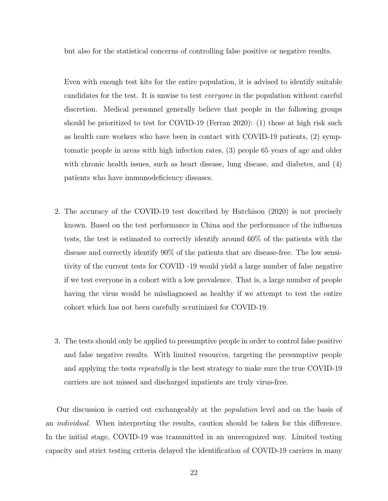but also for the statistical concerns of controlling false positive or negative results.

Even with enough test kits for the entire population, it is advised to identify suitable candidates for the test. It is unwise to test everyone in the population without careful discretion. Medical personnel generally believe that people in the following groups should be prioritized to test for COVID-19 (Ferran 2020): (1) those at high risk such as health care workers who have been in contact with COVID-19 patients, (2) symptomatic people in areas with high infection rates, (3) people 65 years of age and older with chronic health issues, such as heart disease, lung disease, and diabetes, and (4) patients who have immunodeficiency diseases.

- 2. The accuracy of the COVID-19 test described by Hutchison (2020) is not precisely known. Based on the test performance in China and the performance of the influenza tests, the test is estimated to correctly identify around 60% of the patients with the disease and correctly identify 90% of the patients that are disease-free. The low sensitivity of the current tests for COVID -19 would yield a large number of false negative if we test everyone in a cohort with a low prevalence. That is, a large number of people having the virus would be misdiagnosed as healthy if we attempt to test the entire cohort which has not been carefully scrutinized for COVID-19.
- 3. The tests should only be applied to presumptive people in order to control false positive and false negative results. With limited resources, targeting the presumptive people and applying the tests *repeatedly* is the best strategy to make sure the true COVID-19 carriers are not missed and discharged inpatients are truly virus-free.

Our discussion is carried out exchangeably at the population level and on the basis of an individual. When interpreting the results, caution should be taken for this difference. In the initial stage, COVID-19 was transmitted in an unrecognized way. Limited testing capacity and strict testing criteria delayed the identification of COVID-19 carriers in many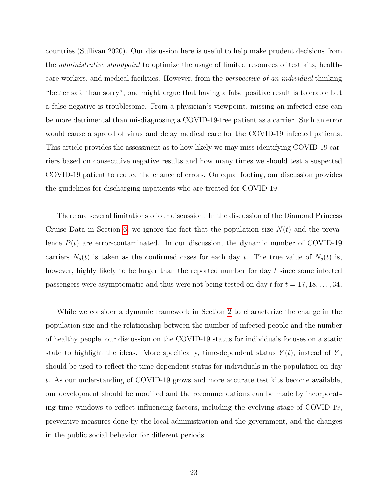countries (Sullivan 2020). Our discussion here is useful to help make prudent decisions from the administrative standpoint to optimize the usage of limited resources of test kits, healthcare workers, and medical facilities. However, from the perspective of an individual thinking "better safe than sorry", one might argue that having a false positive result is tolerable but a false negative is troublesome. From a physician's viewpoint, missing an infected case can be more detrimental than misdiagnosing a COVID-19-free patient as a carrier. Such an error would cause a spread of virus and delay medical care for the COVID-19 infected patients. This article provides the assessment as to how likely we may miss identifying COVID-19 carriers based on consecutive negative results and how many times we should test a suspected COVID-19 patient to reduce the chance of errors. On equal footing, our discussion provides the guidelines for discharging inpatients who are treated for COVID-19.

There are several limitations of our discussion. In the discussion of the Diamond Princess Cruise Data in Section [6,](#page-20-0) we ignore the fact that the population size  $N(t)$  and the prevalence  $P(t)$  are error-contaminated. In our discussion, the dynamic number of COVID-19 carriers  $N_s(t)$  is taken as the confirmed cases for each day t. The true value of  $N_s(t)$  is, however, highly likely to be larger than the reported number for day t since some infected passengers were asymptomatic and thus were not being tested on day t for  $t = 17, 18, \ldots, 34$ .

While we consider a dynamic framework in Section [2](#page-5-0) to characterize the change in the population size and the relationship between the number of infected people and the number of healthy people, our discussion on the COVID-19 status for individuals focuses on a static state to highlight the ideas. More specifically, time-dependent status  $Y(t)$ , instead of Y, should be used to reflect the time-dependent status for individuals in the population on day t. As our understanding of COVID-19 grows and more accurate test kits become available, our development should be modified and the recommendations can be made by incorporating time windows to reflect influencing factors, including the evolving stage of COVID-19, preventive measures done by the local administration and the government, and the changes in the public social behavior for different periods.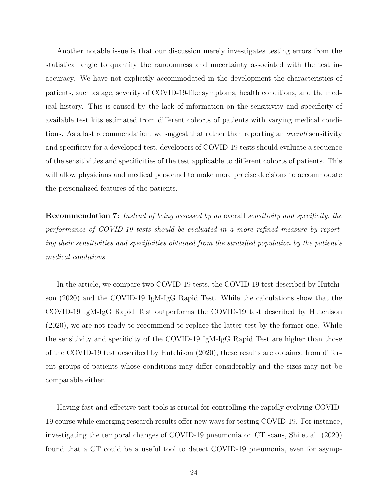Another notable issue is that our discussion merely investigates testing errors from the statistical angle to quantify the randomness and uncertainty associated with the test inaccuracy. We have not explicitly accommodated in the development the characteristics of patients, such as age, severity of COVID-19-like symptoms, health conditions, and the medical history. This is caused by the lack of information on the sensitivity and specificity of available test kits estimated from different cohorts of patients with varying medical conditions. As a last recommendation, we suggest that rather than reporting an *overall* sensitivity and specificity for a developed test, developers of COVID-19 tests should evaluate a sequence of the sensitivities and specificities of the test applicable to different cohorts of patients. This will allow physicians and medical personnel to make more precise decisions to accommodate the personalized-features of the patients.

Recommendation 7: Instead of being assessed by an overall sensitivity and specificity, the performance of COVID-19 tests should be evaluated in a more refined measure by reporting their sensitivities and specificities obtained from the stratified population by the patient's medical conditions.

In the article, we compare two COVID-19 tests, the COVID-19 test described by Hutchison (2020) and the COVID-19 IgM-IgG Rapid Test. While the calculations show that the COVID-19 IgM-IgG Rapid Test outperforms the COVID-19 test described by Hutchison (2020), we are not ready to recommend to replace the latter test by the former one. While the sensitivity and specificity of the COVID-19 IgM-IgG Rapid Test are higher than those of the COVID-19 test described by Hutchison (2020), these results are obtained from different groups of patients whose conditions may differ considerably and the sizes may not be comparable either.

Having fast and effective test tools is crucial for controlling the rapidly evolving COVID-19 course while emerging research results offer new ways for testing COVID-19. For instance, investigating the temporal changes of COVID-19 pneumonia on CT scans, Shi et al. (2020) found that a CT could be a useful tool to detect COVID-19 pneumonia, even for asymp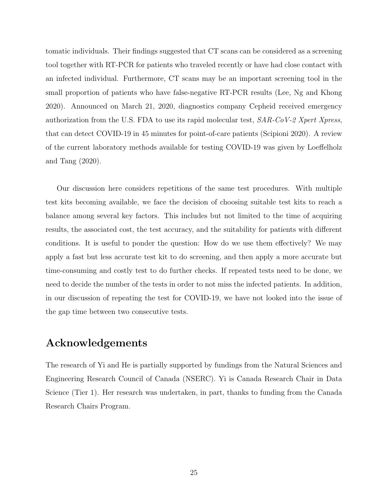tomatic individuals. Their findings suggested that CT scans can be considered as a screening tool together with RT-PCR for patients who traveled recently or have had close contact with an infected individual. Furthermore, CT scans may be an important screening tool in the small proportion of patients who have false-negative RT-PCR results (Lee, Ng and Khong 2020). Announced on March 21, 2020, diagnostics company Cepheid received emergency authorization from the U.S. FDA to use its rapid molecular test,  $SAR\text{-}CoV-2 Xpert Xpress$ , that can detect COVID-19 in 45 minutes for point-of-care patients (Scipioni 2020). A review of the current laboratory methods available for testing COVID-19 was given by Loeffelholz and Tang (2020).

Our discussion here considers repetitions of the same test procedures. With multiple test kits becoming available, we face the decision of choosing suitable test kits to reach a balance among several key factors. This includes but not limited to the time of acquiring results, the associated cost, the test accuracy, and the suitability for patients with different conditions. It is useful to ponder the question: How do we use them effectively? We may apply a fast but less accurate test kit to do screening, and then apply a more accurate but time-consuming and costly test to do further checks. If repeated tests need to be done, we need to decide the number of the tests in order to not miss the infected patients. In addition, in our discussion of repeating the test for COVID-19, we have not looked into the issue of the gap time between two consecutive tests.

# Acknowledgements

The research of Yi and He is partially supported by fundings from the Natural Sciences and Engineering Research Council of Canada (NSERC). Yi is Canada Research Chair in Data Science (Tier 1). Her research was undertaken, in part, thanks to funding from the Canada Research Chairs Program.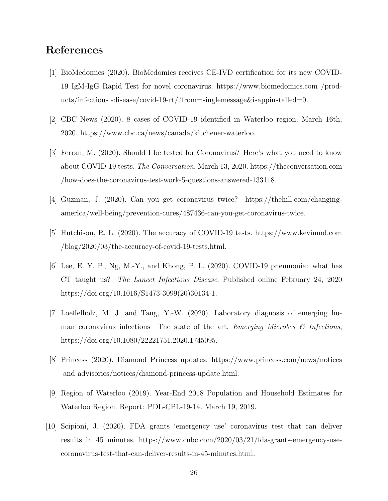### References

- [1] BioMedomics (2020). BioMedomics receives CE-IVD certification for its new COVID-19 IgM-IgG Rapid Test for novel coronavirus. https://www.biomedomics.com /products/infectious -disease/covid-19-rt/?from=singlemessage&isappinstalled=0.
- [2] CBC News (2020). 8 cases of COVID-19 identified in Waterloo region. March 16th, 2020. https://www.cbc.ca/news/canada/kitchener-waterloo.
- [3] Ferran, M. (2020). Should I be tested for Coronavirus? Here's what you need to know about COVID-19 tests. The Conversation, March 13, 2020. https://theconversation.com /how-does-the-coronavirus-test-work-5-questions-answered-133118.
- [4] Guzman, J. (2020). Can you get coronavirus twice? https://thehill.com/changingamerica/well-being/prevention-cures/487436-can-you-get-coronavirus-twice.
- [5] Hutchison, R. L. (2020). The accuracy of COVID-19 tests. https://www.kevinmd.com /blog/2020/03/the-accuracy-of-covid-19-tests.html.
- [6] Lee, E. Y. P., Ng, M.-Y., and Khong, P. L. (2020). COVID-19 pneumonia: what has CT taught us? The Lancet Infectious Disease. Published online February 24, 2020 https://doi.org/10.1016/S1473-3099(20)30134-1.
- [7] Loeffelholz, M. J. and Tang, Y.-W. (2020). Laboratory diagnosis of emerging human coronavirus infections The state of the art. Emerging Microbes  $\mathcal{B}$  Infections, https://doi.org/10.1080/22221751.2020.1745095.
- [8] Princess (2020). Diamond Princess updates. https://www.princess.com/news/notices and advisories/notices/diamond-princess-update.html.
- [9] Region of Waterloo (2019). Year-End 2018 Population and Household Estimates for Waterloo Region. Report: PDL-CPL-19-14. March 19, 2019.
- [10] Scipioni, J. (2020). FDA grants 'emergency use' coronavirus test that can deliver results in 45 minutes. https://www.cnbc.com/2020/03/21/fda-grants-emergency-usecoronavirus-test-that-can-deliver-results-in-45-minutes.html.